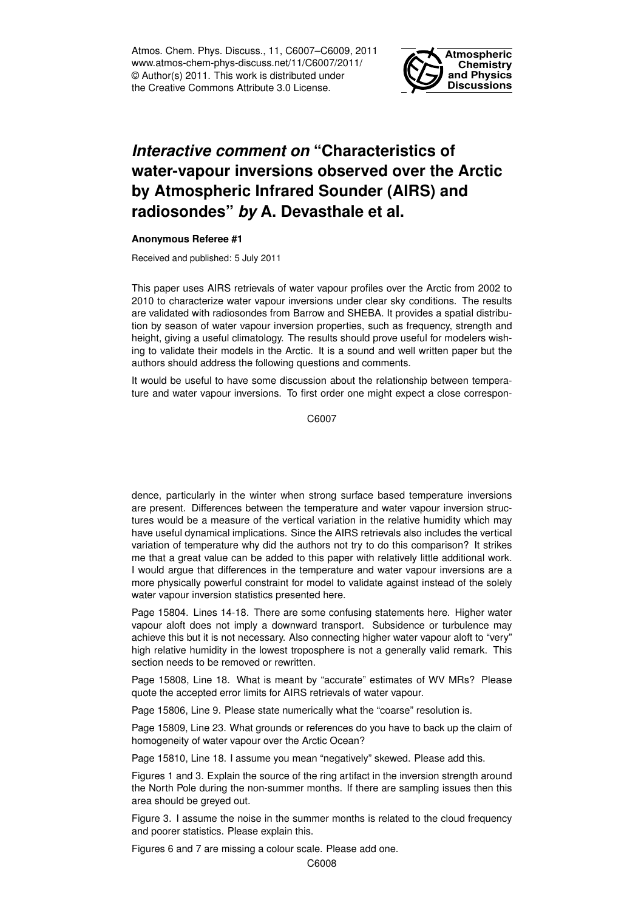Atmos. Chem. Phys. Discuss., 11, C6007–C6009, 2011 www.atmos-chem-phys-discuss.net/11/C6007/2011/ © Author(s) 2011. This work is distributed under the Creative Commons Attribute 3.0 License.



## *Interactive comment on* **"Characteristics of water-vapour inversions observed over the Arctic by Atmospheric Infrared Sounder (AIRS) and radiosondes"** *by* **A. Devasthale et al.**

## **Anonymous Referee #1**

Received and published: 5 July 2011

This paper uses AIRS retrievals of water vapour profiles over the Arctic from 2002 to 2010 to characterize water vapour inversions under clear sky conditions. The results are validated with radiosondes from Barrow and SHEBA. It provides a spatial distribution by season of water vapour inversion properties, such as frequency, strength and height, giving a useful climatology. The results should prove useful for modelers wishing to validate their models in the Arctic. It is a sound and well written paper but the authors should address the following questions and comments.

It would be useful to have some discussion about the relationship between temperature and water vapour inversions. To first order one might expect a close correspon-

C6007

dence, particularly in the winter when strong surface based temperature inversions are present. Differences between the temperature and water vapour inversion structures would be a measure of the vertical variation in the relative humidity which may have useful dynamical implications. Since the AIRS retrievals also includes the vertical variation of temperature why did the authors not try to do this comparison? It strikes me that a great value can be added to this paper with relatively little additional work. I would argue that differences in the temperature and water vapour inversions are a more physically powerful constraint for model to validate against instead of the solely water vapour inversion statistics presented here.

Page 15804. Lines 14-18. There are some confusing statements here. Higher water vapour aloft does not imply a downward transport. Subsidence or turbulence may achieve this but it is not necessary. Also connecting higher water vapour aloft to "very" high relative humidity in the lowest troposphere is not a generally valid remark. This section needs to be removed or rewritten.

Page 15808, Line 18. What is meant by "accurate" estimates of WV MRs? Please quote the accepted error limits for AIRS retrievals of water vapour.

Page 15806, Line 9. Please state numerically what the "coarse" resolution is.

Page 15809, Line 23. What grounds or references do you have to back up the claim of homogeneity of water vapour over the Arctic Ocean?

Page 15810, Line 18. I assume you mean "negatively" skewed. Please add this.

Figures 1 and 3. Explain the source of the ring artifact in the inversion strength around the North Pole during the non-summer months. If there are sampling issues then this area should be greyed out.

Figure 3. I assume the noise in the summer months is related to the cloud frequency and poorer statistics. Please explain this.

Figures 6 and 7 are missing a colour scale. Please add one.